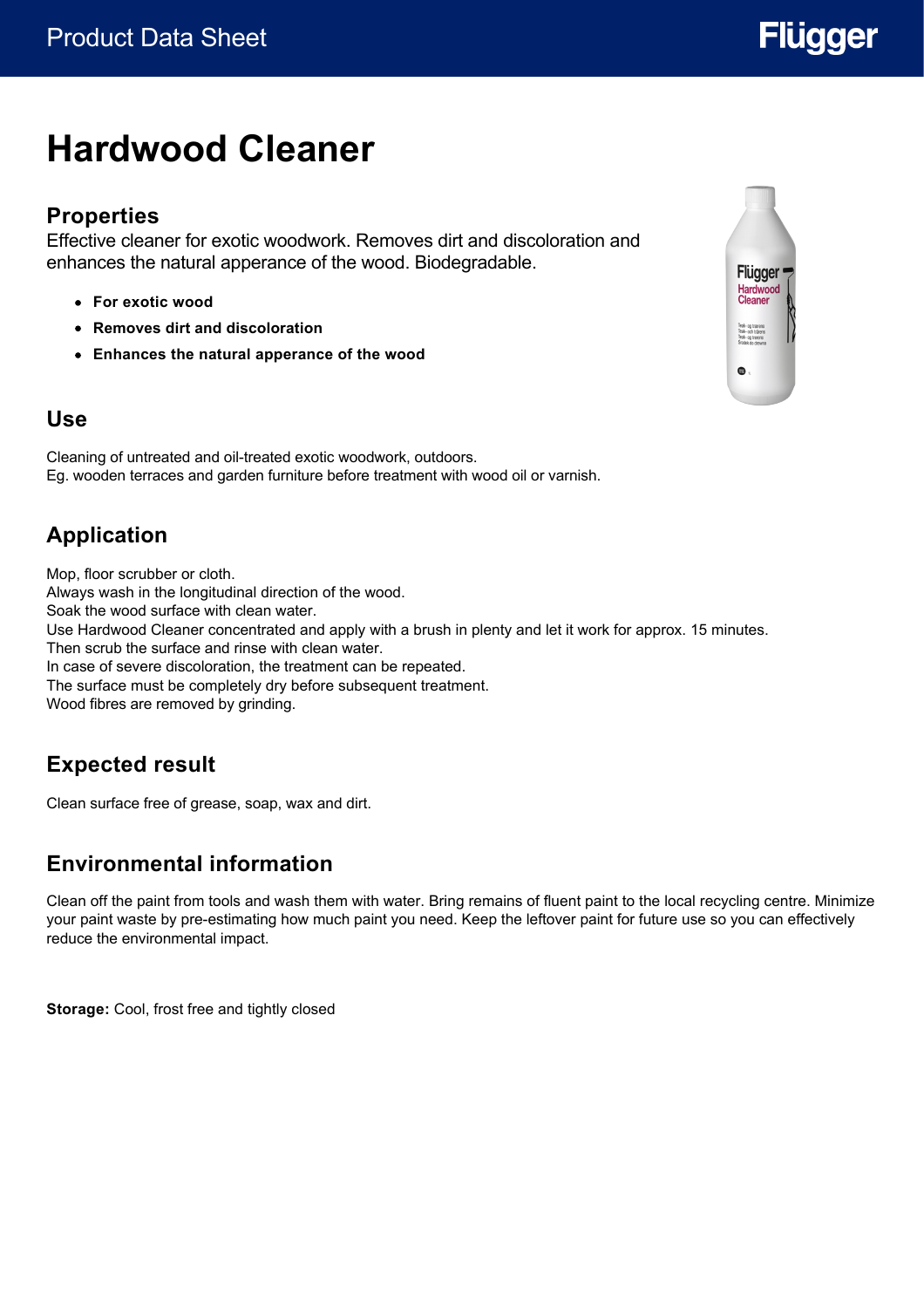# **Hardwood Cleaner**

#### **Properties**

Effective cleaner for exotic woodwork. Removes dirt and discoloration and enhances the natural apperance of the wood. Biodegradable.

- **For exotic wood**
- **Removes dirt and discoloration**
- **Enhances the natural apperance of the wood**

### **Use**

Cleaning of untreated and oil-treated exotic woodwork, outdoors. Eg. wooden terraces and garden furniture before treatment with wood oil or varnish.

## **Application**

Mop, floor scrubber or cloth. Always wash in the longitudinal direction of the wood. Soak the wood surface with clean water. Use Hardwood Cleaner concentrated and apply with a brush in plenty and let it work for approx. 15 minutes. Then scrub the surface and rinse with clean water. In case of severe discoloration, the treatment can be repeated. The surface must be completely dry before subsequent treatment. Wood fibres are removed by grinding.

## **Expected result**

Clean surface free of grease, soap, wax and dirt.

### **Environmental information**

Clean off the paint from tools and wash them with water. Bring remains of fluent paint to the local recycling centre. Minimize your paint waste by pre-estimating how much paint you need. Keep the leftover paint for future use so you can effectively reduce the environmental impact.

**Storage:** Cool, frost free and tightly closed



# **Flügger**